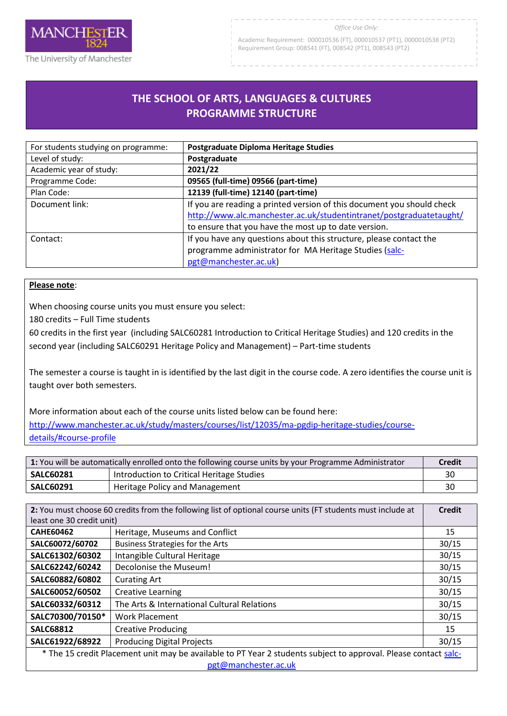

#### *Office Use Only:*

Academic Requirement: 000010536 (FT), 000010537 (PT1), 0000010538 (PT2) Requirement Group: 008541 (FT), 008542 (PT1), 008543 (PT2)

# **THE SCHOOL OF ARTS, LANGUAGES & CULTURES PROGRAMME STRUCTURE**

R

| For students studying on programme: | Postgraduate Diploma Heritage Studies                                  |
|-------------------------------------|------------------------------------------------------------------------|
| Level of study:                     | Postgraduate                                                           |
| Academic year of study:             | 2021/22                                                                |
| Programme Code:                     | 09565 (full-time) 09566 (part-time)                                    |
| Plan Code:                          | 12139 (full-time) 12140 (part-time)                                    |
| Document link:                      | If you are reading a printed version of this document you should check |
|                                     | http://www.alc.manchester.ac.uk/studentintranet/postgraduatetaught/    |
|                                     | to ensure that you have the most up to date version.                   |
| Contact:                            | If you have any questions about this structure, please contact the     |
|                                     | programme administrator for MA Heritage Studies (salc-                 |
|                                     | pgt@manchester.ac.uk)                                                  |

### **Please note**:

When choosing course units you must ensure you select:

180 credits – Full Time students

60 credits in the first year (including SALC60281 Introduction to Critical Heritage Studies) and 120 credits in the second year (including SALC60291 Heritage Policy and Management) – Part-time students

The semester a course is taught in is identified by the last digit in the course code. A zero identifies the course unit is taught over both semesters.

More information about each of the course units listed below can be found here:

[http://www.manchester.ac.uk/study/masters/courses/list/12035/ma-pgdip-heritage-studies/course](http://www.manchester.ac.uk/study/masters/courses/list/12035/ma-pgdip-heritage-studies/course-details/#course-profile)[details/#course-profile](http://www.manchester.ac.uk/study/masters/courses/list/12035/ma-pgdip-heritage-studies/course-details/#course-profile)

| 1: You will be automatically enrolled onto the following course units by your Programme Administrator |                                           | <b>Credit</b> |
|-------------------------------------------------------------------------------------------------------|-------------------------------------------|---------------|
| <b>SALC60281</b>                                                                                      | Introduction to Critical Heritage Studies | 30            |
| <b>SALC60291</b>                                                                                      | Heritage Policy and Management            | 30            |

| 2: You must choose 60 credits from the following list of optional course units (FT students must include at     |                                             | <b>Credit</b> |
|-----------------------------------------------------------------------------------------------------------------|---------------------------------------------|---------------|
| least one 30 credit unit)                                                                                       |                                             |               |
| <b>CAHE60462</b>                                                                                                | Heritage, Museums and Conflict              | 15            |
| SALC60072/60702                                                                                                 | Business Strategies for the Arts            | 30/15         |
| SALC61302/60302                                                                                                 | Intangible Cultural Heritage                | 30/15         |
| SALC62242/60242                                                                                                 | Decolonise the Museum!                      | 30/15         |
| SALC60882/60802                                                                                                 | <b>Curating Art</b>                         | 30/15         |
| SALC60052/60502                                                                                                 | <b>Creative Learning</b>                    | 30/15         |
| SALC60332/60312                                                                                                 | The Arts & International Cultural Relations | 30/15         |
| SALC70300/70150*                                                                                                | <b>Work Placement</b>                       | 30/15         |
| <b>SALC68812</b>                                                                                                | <b>Creative Producing</b>                   | 15            |
| SALC61922/68922                                                                                                 | <b>Producing Digital Projects</b>           | 30/15         |
| * The 15 credit Placement unit may be available to PT Year 2 students subject to approval. Please contact salc- |                                             |               |
| pgt@manchester.ac.uk                                                                                            |                                             |               |